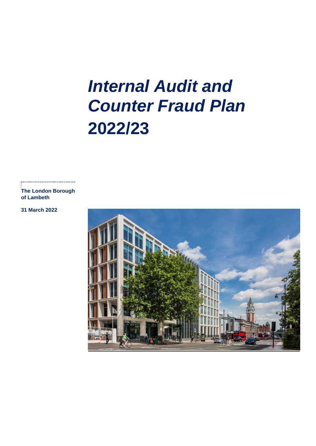# *Internal Audit and Counter Fraud Plan* **2022/23**

**The London Borough of Lambeth**

....................................

**31 March 2022**

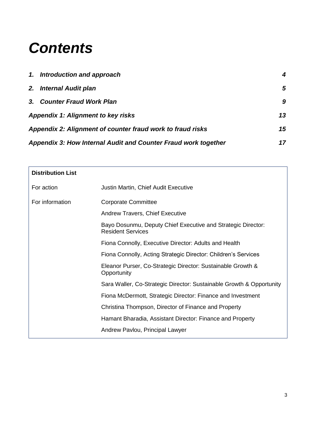## *Contents*

|                                                                | 1. Introduction and approach                               | 4  |
|----------------------------------------------------------------|------------------------------------------------------------|----|
|                                                                | 2. Internal Audit plan                                     | 5  |
|                                                                | 3. Counter Fraud Work Plan                                 | 9  |
|                                                                | <b>Appendix 1: Alignment to key risks</b>                  | 13 |
|                                                                | Appendix 2: Alignment of counter fraud work to fraud risks | 15 |
| Appendix 3: How Internal Audit and Counter Fraud work together |                                                            | 17 |

| <b>Distribution List</b> |                                                                                          |
|--------------------------|------------------------------------------------------------------------------------------|
| For action               | Justin Martin, Chief Audit Executive                                                     |
| For information          | <b>Corporate Committee</b>                                                               |
|                          | <b>Andrew Travers, Chief Executive</b>                                                   |
|                          | Bayo Dosunmu, Deputy Chief Executive and Strategic Director:<br><b>Resident Services</b> |
|                          | Fiona Connolly, Executive Director: Adults and Health                                    |
|                          | Fiona Connolly, Acting Strategic Director: Children's Services                           |
|                          | Eleanor Purser, Co-Strategic Director: Sustainable Growth &<br>Opportunity               |
|                          | Sara Waller, Co-Strategic Director: Sustainable Growth & Opportunity                     |
|                          | Fiona McDermott, Strategic Director: Finance and Investment                              |
|                          | Christina Thompson, Director of Finance and Property                                     |
|                          | Hamant Bharadia, Assistant Director: Finance and Property                                |
|                          | Andrew Pavlou, Principal Lawyer                                                          |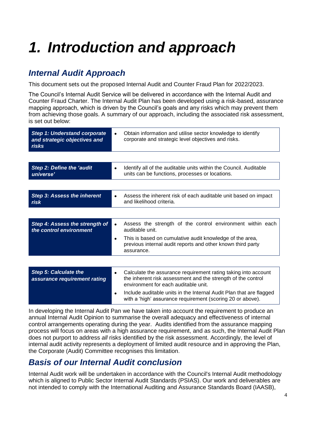# <span id="page-2-0"></span>*1. Introduction and approach*

### *Internal Audit Approach*

This document sets out the proposed Internal Audit and Counter Fraud Plan for 2022/2023.

The Council's Internal Audit Service will be delivered in accordance with the Internal Audit and Counter Fraud Charter. The Internal Audit Plan has been developed using a risk-based, assurance mapping approach, which is driven by the Council's goals and any risks which may prevent them from achieving those goals. A summary of our approach, including the associated risk assessment, is set out below:

| <b>Step 1: Understand corporate</b><br>and strategic objectives and<br><b>risks</b> | Obtain information and utilise sector knowledge to identify<br>corporate and strategic level objectives and risks.                                                                  |
|-------------------------------------------------------------------------------------|-------------------------------------------------------------------------------------------------------------------------------------------------------------------------------------|
|                                                                                     |                                                                                                                                                                                     |
| <b>Step 2: Define the 'audit</b><br>universe'                                       | Identify all of the auditable units within the Council. Auditable<br>$\bullet$<br>units can be functions, processes or locations.                                                   |
|                                                                                     |                                                                                                                                                                                     |
| <b>Step 3: Assess the inherent</b><br>risk                                          | Assess the inherent risk of each auditable unit based on impact<br>$\bullet$<br>and likelihood criteria.                                                                            |
|                                                                                     |                                                                                                                                                                                     |
| Step 4: Assess the strength of<br>the control environment                           | Assess the strength of the control environment within each<br>$\bullet$<br>auditable unit.                                                                                          |
|                                                                                     | This is based on cumulative audit knowledge of the area,<br>$\bullet$<br>previous internal audit reports and other known third party<br>assurance.                                  |
|                                                                                     |                                                                                                                                                                                     |
| <b>Step 5: Calculate the</b><br>assurance requirement rating                        | Calculate the assurance requirement rating taking into account<br>$\bullet$<br>the inherent risk assessment and the strength of the control<br>environment for each auditable unit. |
|                                                                                     | Include auditable units in the Internal Audit Plan that are flagged<br>with a 'high' assurance requirement (scoring 20 or above).                                                   |

In developing the Internal Audit Pan we have taken into account the requirement to produce an annual Internal Audit Opinion to summarise the overall adequacy and effectiveness of internal control arrangements operating during the year. Audits identified from the assurance mapping process will focus on areas with a high assurance requirement, and as such, the Internal Audit Plan does not purport to address *all* risks identified by the risk assessment. Accordingly, the level of internal audit activity represents a deployment of limited audit resource and in approving the Plan, the Corporate (Audit) Committee recognises this limitation.

### *Basis of our Internal Audit conclusion*

Internal Audit work will be undertaken in accordance with the Council's Internal Audit methodology which is aligned to Public Sector Internal Audit Standards (PSIAS). Our work and deliverables are not intended to comply with the International Auditing and Assurance Standards Board (IAASB),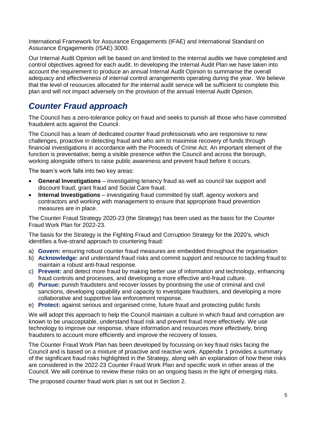International Framework for Assurance Engagements (IFAE) and International Standard on Assurance Engagements (ISAE) 3000.

Our Internal Audit Opinion will be based on and limited to the internal audits we have completed and control objectives agreed for each audit. In developing the Internal Audit Plan we have taken into account the requirement to produce an annual Internal Audit Opinion to summarise the overall adequacy and effectiveness of internal control arrangements operating during the year. We believe that the level of resources allocated for the internal audit service will be sufficient to complete this plan and will not impact adversely on the provision of the annual Internal Audit Opinion.

### *Counter Fraud approach*

<span id="page-3-0"></span>The Council has a zero-tolerance policy on fraud and seeks to punish all those who have committed fraudulent acts against the Council.

The Council has a team of dedicated counter fraud professionals who are responsive to new challenges, proactive in detecting fraud and who aim to maximise recovery of funds through financial investigations in accordance with the Proceeds of Crime Act. An important element of the function is preventative; being a visible presence within the Council and across the borough, working alongside others to raise public awareness and prevent fraud before it occurs.

The team's work falls into two key areas:

- **General Investigations** investigating tenancy fraud as well as council tax support and discount fraud, grant fraud and Social Care fraud.
- **Internal Investigations** investigating fraud committed by staff, agency workers and contractors and working with management to ensure that appropriate fraud prevention measures are in place.

The Counter Fraud Strategy 2020-23 (the Strategy) has been used as the basis for the Counter Fraud Work Plan for 2022-23.

The basis for the Strategy is the Fighting Fraud and Corruption Strategy for the 2020's, which identifies a five-strand approach to countering fraud:

- a) **Govern:** ensuring robust counter fraud measures are embedded throughout the organisation
- b) **Acknowledge:** and understand fraud risks and commit support and resource to tackling fraud to maintain a robust anti-fraud response.
- c) **Prevent:** and detect more fraud by making better use of information and technology, enhancing fraud controls and processes, and developing a more effective anti-fraud culture.
- d) **Pursue:** punish fraudsters and recover losses by prioritising the use of criminal and civil sanctions, developing capability and capacity to investigate fraudsters, and developing a more collaborative and supportive law enforcement response.
- e) **Protect:** against serious and organised crime, future fraud and protecting public funds

We will adopt this approach to help the Council maintain a culture in which fraud and corruption are known to be unacceptable, understand fraud risk and prevent fraud more effectively. We use technology to improve our response, share information and resources more effectively, bring fraudsters to account more efficiently and improve the recovery of losses.

The Counter Fraud Work Plan has been developed by focussing on key fraud risks facing the Council and is based on a mixture of proactive and reactive work. Appendix 1 provides a summary of the significant fraud risks highlighted in the Strategy*,* along with an explanation of how these risks are considered in the 2022-23 Counter Fraud Work Plan and specific work in other areas of the Council. We will continue to review these risks on an ongoing basis in the light of emerging risks.

The proposed counter fraud work plan is set out in Section 2.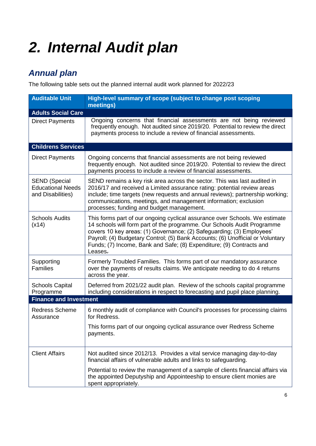# *2. Internal Audit plan*

## *Annual plan*

The following table sets out the planned internal audit work planned for 2022/23

| <b>Auditable Unit</b>                                                 | High-level summary of scope (subject to change post scoping<br>meetings)                                                                                                                                                                                                                                                                                                                             |  |  |
|-----------------------------------------------------------------------|------------------------------------------------------------------------------------------------------------------------------------------------------------------------------------------------------------------------------------------------------------------------------------------------------------------------------------------------------------------------------------------------------|--|--|
| <b>Adults Social Care</b>                                             |                                                                                                                                                                                                                                                                                                                                                                                                      |  |  |
| <b>Direct Payments</b>                                                | Ongoing concerns that financial assessments are not being reviewed<br>frequently enough. Not audited since 2019/20. Potential to review the direct<br>payments process to include a review of financial assessments.                                                                                                                                                                                 |  |  |
| <b>Childrens Services</b>                                             |                                                                                                                                                                                                                                                                                                                                                                                                      |  |  |
| <b>Direct Payments</b>                                                | Ongoing concerns that financial assessments are not being reviewed<br>frequently enough. Not audited since 2019/20. Potential to review the direct<br>payments process to include a review of financial assessments.                                                                                                                                                                                 |  |  |
| <b>SEND (Special</b><br><b>Educational Needs</b><br>and Disabilities) | SEND remains a key risk area across the sector. This was last audited in<br>2016/17 and received a Limited assurance rating: potential review areas<br>include; time targets (new requests and annual reviews); partnership working;<br>communications, meetings, and management information; exclusion<br>processes; funding and budget management.                                                 |  |  |
| <b>Schools Audits</b><br>(x14)                                        | This forms part of our ongoing cyclical assurance over Schools. We estimate<br>14 schools will form part of the programme. Our Schools Audit Programme<br>covers 10 key areas: (1) Governance; (2) Safeguarding; (3) Employees'<br>Payroll; (4) Budgetary Control; (5) Bank Accounts; (6) Unofficial or Voluntary<br>Funds; (7) Income, Bank and Safe; (8) Expenditure; (9) Contracts and<br>Leases. |  |  |
| Supporting<br><b>Families</b>                                         | Formerly Troubled Families. This forms part of our mandatory assurance<br>over the payments of results claims. We anticipate needing to do 4 returns<br>across the year.                                                                                                                                                                                                                             |  |  |
| <b>Schools Capital</b><br>Programme                                   | Deferred from 2021/22 audit plan. Review of the schools capital programme<br>including considerations in respect to forecasting and pupil place planning.                                                                                                                                                                                                                                            |  |  |
| <b>Finance and Investment</b>                                         |                                                                                                                                                                                                                                                                                                                                                                                                      |  |  |
| Redress Scheme<br>Assurance                                           | 6 monthly audit of compliance with Council's processes for processing claims<br>for Redress.                                                                                                                                                                                                                                                                                                         |  |  |
|                                                                       | This forms part of our ongoing cyclical assurance over Redress Scheme<br>payments.                                                                                                                                                                                                                                                                                                                   |  |  |
| <b>Client Affairs</b>                                                 | Not audited since 2012/13. Provides a vital service managing day-to-day<br>financial affairs of vulnerable adults and links to safeguarding.                                                                                                                                                                                                                                                         |  |  |
|                                                                       | Potential to review the management of a sample of clients financial affairs via<br>the appointed Deputyship and Appointeeship to ensure client monies are<br>spent appropriately.                                                                                                                                                                                                                    |  |  |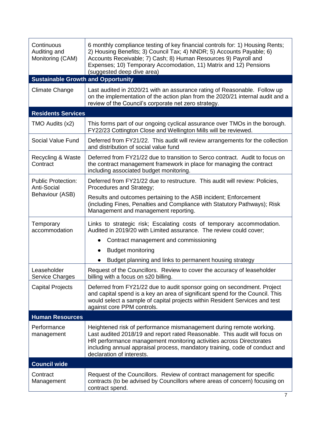| Continuous<br>Auditing and<br>Monitoring (CAM)  | 6 monthly compliance testing of key financial controls for: 1) Housing Rents;<br>2) Housing Benefits; 3) Council Tax; 4) NNDR; 5) Accounts Payable; 6)<br>Accounts Receivable; 7) Cash; 8) Human Resources 9) Payroll and<br>Expenses; 10) Temporary Accomodation, 11) Matrix and 12) Pensions<br>(suggested deep dive area)         |  |  |
|-------------------------------------------------|--------------------------------------------------------------------------------------------------------------------------------------------------------------------------------------------------------------------------------------------------------------------------------------------------------------------------------------|--|--|
| <b>Sustainable Growth and Opportunity</b>       |                                                                                                                                                                                                                                                                                                                                      |  |  |
| <b>Climate Change</b>                           | Last audited in 2020/21 with an assurance rating of Reasonable. Follow up<br>on the implementation of the action plan from the 2020/21 internal audit and a<br>review of the Council's corporate net zero strategy.                                                                                                                  |  |  |
| <b>Residents Services</b>                       |                                                                                                                                                                                                                                                                                                                                      |  |  |
| TMO Audits (x2)                                 | This forms part of our ongoing cyclical assurance over TMOs in the borough.<br>FY22/23 Cottington Close and Wellington Mills will be reviewed.                                                                                                                                                                                       |  |  |
| Social Value Fund                               | Deferred from FY21/22. This audit will review arrangements for the collection<br>and distribution of social value fund                                                                                                                                                                                                               |  |  |
| Recycling & Waste<br>Contract                   | Deferred from FY21/22 due to transition to Serco contract. Audit to focus on<br>the contract management framework in place for managing the contract<br>including associated budget monitoring.                                                                                                                                      |  |  |
| <b>Public Protection:</b><br><b>Anti-Social</b> | Deferred from FY21/22 due to restructure. This audit will review: Policies,<br>Procedures and Strategy;                                                                                                                                                                                                                              |  |  |
| Behaviour (ASB)                                 | Results and outcomes pertaining to the ASB incident; Enforcement<br>(including Fines, Penalties and Compliance with Statutory Pathways); Risk<br>Management and management reporting.                                                                                                                                                |  |  |
| Temporary<br>accommodation                      | Links to strategic risk; Escalating costs of temporary accommodation.<br>Audited in 2019/20 with Limited assurance. The review could cover;                                                                                                                                                                                          |  |  |
|                                                 | Contract management and commissioning                                                                                                                                                                                                                                                                                                |  |  |
|                                                 | <b>Budget monitoring</b>                                                                                                                                                                                                                                                                                                             |  |  |
|                                                 | Budget planning and links to permanent housing strategy                                                                                                                                                                                                                                                                              |  |  |
| Leaseholder<br>Service Charges                  | Request of the Councillors. Review to cover the accuracy of leaseholder<br>billing with a focus on s20 billing.                                                                                                                                                                                                                      |  |  |
| <b>Capital Projects</b>                         | Deferred from FY21/22 due to audit sponsor going on secondment. Project<br>and capital spend is a key an area of significant spend for the Council. This<br>would select a sample of capital projects within Resident Services and test<br>against core PPM controls.                                                                |  |  |
| <b>Human Resources</b>                          |                                                                                                                                                                                                                                                                                                                                      |  |  |
| Performance<br>management                       | Heightened risk of performance mismanagement during remote working.<br>Last audited 2018/19 and report rated Reasonable. This audit will focus on<br>HR performance management monitoring activities across Directorates<br>including annual appraisal process, mandatory training, code of conduct and<br>declaration of interests. |  |  |
| <b>Council wide</b>                             |                                                                                                                                                                                                                                                                                                                                      |  |  |
| Contract<br>Management                          | Request of the Councillors. Review of contract management for specific<br>contracts (to be advised by Councillors where areas of concern) focusing on<br>contract spend.                                                                                                                                                             |  |  |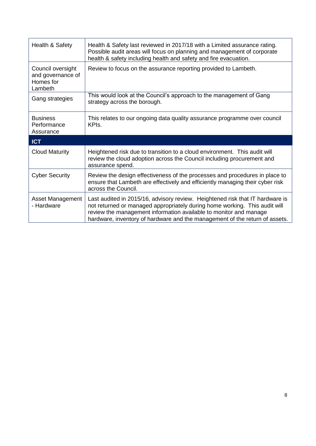| Health & Safety<br>Health & Safety last reviewed in 2017/18 with a Limited assurance rating.<br>Possible audit areas will focus on planning and management of corporate<br>health & safety including health and safety and fire evacuation. |                                                                                                                                                                                                                                                                                                                 |  |
|---------------------------------------------------------------------------------------------------------------------------------------------------------------------------------------------------------------------------------------------|-----------------------------------------------------------------------------------------------------------------------------------------------------------------------------------------------------------------------------------------------------------------------------------------------------------------|--|
| Council oversight<br>and governance of<br>Homes for<br>Lambeth                                                                                                                                                                              | Review to focus on the assurance reporting provided to Lambeth.                                                                                                                                                                                                                                                 |  |
| Gang strategies                                                                                                                                                                                                                             | This would look at the Council's approach to the management of Gang<br>strategy across the borough.                                                                                                                                                                                                             |  |
| <b>Business</b><br>Performance<br>Assurance                                                                                                                                                                                                 | This relates to our ongoing data quality assurance programme over council<br>KPI <sub>s</sub> .                                                                                                                                                                                                                 |  |
| <b>ICT</b>                                                                                                                                                                                                                                  |                                                                                                                                                                                                                                                                                                                 |  |
| <b>Cloud Maturity</b>                                                                                                                                                                                                                       | Heightened risk due to transition to a cloud environment. This audit will<br>review the cloud adoption across the Council including procurement and<br>assurance spend.                                                                                                                                         |  |
| <b>Cyber Security</b>                                                                                                                                                                                                                       | Review the design effectiveness of the processes and procedures in place to<br>ensure that Lambeth are effectively and efficiently managing their cyber risk<br>across the Council.                                                                                                                             |  |
| <b>Asset Management</b><br>- Hardware                                                                                                                                                                                                       | Last audited in 2015/16, advisory review. Heightened risk that IT hardware is<br>not returned or managed appropriately during home working. This audit will<br>review the management information available to monitor and manage<br>hardware, inventory of hardware and the management of the return of assets. |  |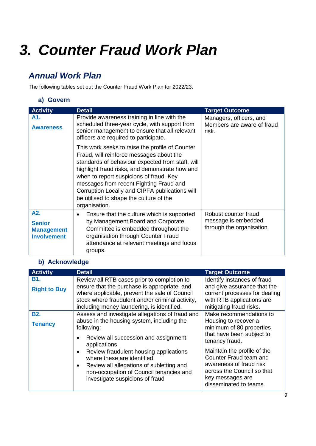## <span id="page-7-0"></span>*3. Counter Fraud Work Plan*

### *Annual Work Plan*

The following tables set out the Counter Fraud Work Plan for 2022/23.

#### **a) Govern**

| <b>Activity</b>                                                 | <b>Detail</b>                                                                                                                                                                                                                                                                                                                                                                                         | <b>Target Outcome</b>                                                    |
|-----------------------------------------------------------------|-------------------------------------------------------------------------------------------------------------------------------------------------------------------------------------------------------------------------------------------------------------------------------------------------------------------------------------------------------------------------------------------------------|--------------------------------------------------------------------------|
| A1.<br><b>Awareness</b>                                         | Provide awareness training in line with the<br>scheduled three-year cycle, with support from<br>senior management to ensure that all relevant<br>officers are required to participate.                                                                                                                                                                                                                | Managers, officers, and<br>Members are aware of fraud<br>risk.           |
|                                                                 | This work seeks to raise the profile of Counter<br>Fraud, will reinforce messages about the<br>standards of behaviour expected from staff, will<br>highlight fraud risks, and demonstrate how and<br>when to report suspicions of fraud. Key<br>messages from recent Fighting Fraud and<br>Corruption Locally and CIPFA publications will<br>be utilised to shape the culture of the<br>organisation. |                                                                          |
| A2.<br><b>Senior</b><br><b>Management</b><br><b>Involvement</b> | Ensure that the culture which is supported<br>$\bullet$<br>by Management Board and Corporate<br>Committee is embedded throughout the<br>organisation through Counter Fraud<br>attendance at relevant meetings and focus<br>groups.                                                                                                                                                                    | Robust counter fraud<br>message is embedded<br>through the organisation. |

#### **b) Acknowledge**

| <b>Activity</b>              | <b>Detail</b>                                                                                                                                                                                                                                                                                                                                                                                                | <b>Target Outcome</b>                                                                                                                                                                                                                                                                      |
|------------------------------|--------------------------------------------------------------------------------------------------------------------------------------------------------------------------------------------------------------------------------------------------------------------------------------------------------------------------------------------------------------------------------------------------------------|--------------------------------------------------------------------------------------------------------------------------------------------------------------------------------------------------------------------------------------------------------------------------------------------|
| B1.<br><b>Right to Buy</b>   | Review all RTB cases prior to completion to<br>ensure that the purchase is appropriate, and<br>where applicable, prevent the sale of Council<br>stock where fraudulent and/or criminal activity,<br>including money laundering, is identified.                                                                                                                                                               | Identify instances of fraud<br>and give assurance that the<br>current processes for dealing<br>with RTB applications are<br>mitigating fraud risks.                                                                                                                                        |
| <b>B2.</b><br><b>Tenancy</b> | Assess and investigate allegations of fraud and<br>abuse in the housing system, including the<br>following:<br>Review all succession and assignment<br>$\bullet$<br>applications<br>Review fraudulent housing applications<br>$\bullet$<br>where these are identified<br>Review all allegations of subletting and<br>$\bullet$<br>non-occupation of Council tenancies and<br>investigate suspicions of fraud | Make recommendations to<br>Housing to recover a<br>minimum of 80 properties<br>that have been subject to<br>tenancy fraud.<br>Maintain the profile of the<br>Counter Fraud team and<br>awareness of fraud risk<br>across the Council so that<br>key messages are<br>disseminated to teams. |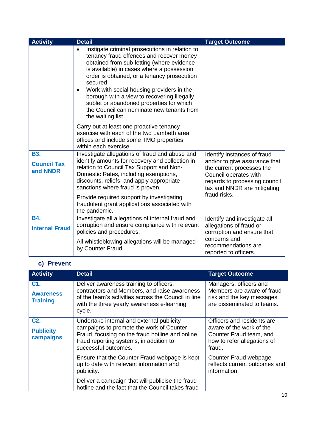| <b>Activity</b>                              | <b>Detail</b>                                                                                                                                                                                                                                                                                                                                                                                                                                                             | <b>Target Outcome</b>                                                                                                                                                                              |
|----------------------------------------------|---------------------------------------------------------------------------------------------------------------------------------------------------------------------------------------------------------------------------------------------------------------------------------------------------------------------------------------------------------------------------------------------------------------------------------------------------------------------------|----------------------------------------------------------------------------------------------------------------------------------------------------------------------------------------------------|
|                                              | Instigate criminal prosecutions in relation to<br>$\bullet$<br>tenancy fraud offences and recover money<br>obtained from sub-letting (where evidence<br>is available) in cases where a possession<br>order is obtained, or a tenancy prosecution<br>secured<br>Work with social housing providers in the<br>٠<br>borough with a view to recovering illegally<br>sublet or abandoned properties for which<br>the Council can nominate new tenants from<br>the waiting list |                                                                                                                                                                                                    |
|                                              | Carry out at least one proactive tenancy<br>exercise with each of the two Lambeth area<br>offices and include some TMO properties<br>within each exercise                                                                                                                                                                                                                                                                                                                 |                                                                                                                                                                                                    |
| <b>B3.</b><br><b>Council Tax</b><br>and NNDR | Investigate allegations of fraud and abuse and<br>identify amounts for recovery and collection in<br>relation to Council Tax Support and Non-<br>Domestic Rates, including exemptions,<br>discounts, reliefs, and apply appropriate<br>sanctions where fraud is proven.<br>Provide required support by investigating<br>fraudulent grant applications associated with                                                                                                     | Identify instances of fraud<br>and/or to give assurance that<br>the current processes the<br>Council operates with<br>regards to processing council<br>tax and NNDR are mitigating<br>fraud risks. |
| <b>B4.</b><br><b>Internal Fraud</b>          | the pandemic.<br>Investigate all allegations of internal fraud and<br>corruption and ensure compliance with relevant<br>policies and procedures.<br>All whistleblowing allegations will be managed<br>by Counter Fraud                                                                                                                                                                                                                                                    | Identify and investigate all<br>allegations of fraud or<br>corruption and ensure that<br>concerns and<br>recommendations are<br>reported to officers.                                              |

#### **c) Prevent**

| <b>Activity</b>                                   | <b>Detail</b>                                                                                                                                                                                               | <b>Target Outcome</b>                                                                                                      |
|---------------------------------------------------|-------------------------------------------------------------------------------------------------------------------------------------------------------------------------------------------------------------|----------------------------------------------------------------------------------------------------------------------------|
| C1.<br><b>Awareness</b><br><b>Training</b>        | Deliver awareness training to officers,<br>contractors and Members, and raise awareness<br>of the team's activities across the Council in line<br>with the three yearly awareness e-learning<br>cycle.      | Managers, officers and<br>Members are aware of fraud<br>risk and the key messages<br>are disseminated to teams.            |
| C <sub>2</sub> .<br><b>Publicity</b><br>campaigns | Undertake internal and external publicity<br>campaigns to promote the work of Counter<br>Fraud, focusing on the fraud hotline and online<br>fraud reporting systems, in addition to<br>successful outcomes. | Officers and residents are<br>aware of the work of the<br>Counter Fraud team, and<br>how to refer allegations of<br>fraud. |
|                                                   | Ensure that the Counter Fraud webpage is kept<br>up to date with relevant information and<br>publicity.                                                                                                     | Counter Fraud webpage<br>reflects current outcomes and<br>information.                                                     |
|                                                   | Deliver a campaign that will publicise the fraud<br>hotline and the fact that the Council takes fraud                                                                                                       |                                                                                                                            |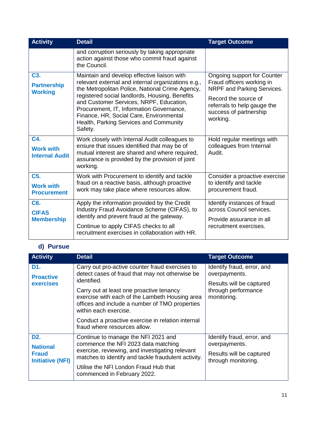| <b>Activity</b>                                            | <b>Detail</b>                                                                                                                                                                                                                                                                                                                                                                                 | <b>Target Outcome</b>                                                                                                                                                               |
|------------------------------------------------------------|-----------------------------------------------------------------------------------------------------------------------------------------------------------------------------------------------------------------------------------------------------------------------------------------------------------------------------------------------------------------------------------------------|-------------------------------------------------------------------------------------------------------------------------------------------------------------------------------------|
|                                                            | and corruption seriously by taking appropriate<br>action against those who commit fraud against<br>the Council.                                                                                                                                                                                                                                                                               |                                                                                                                                                                                     |
| C <sub>3</sub> .<br><b>Partnership</b><br><b>Working</b>   | Maintain and develop effective liaison with<br>relevant external and internal organizations e.g.,<br>the Metropolitan Police, National Crime Agency,<br>registered social landlords, Housing, Benefits<br>and Customer Services, NRPF, Education,<br>Procurement, IT, Information Governance,<br>Finance, HR, Social Care, Environmental<br>Health, Parking Services and Community<br>Safety. | Ongoing support for Counter<br>Fraud officers working in<br>NRPF and Parking Services.<br>Record the source of<br>referrals to help gauge the<br>success of partnership<br>working. |
| C4.<br><b>Work with</b><br><b>Internal Audit</b>           | Work closely with Internal Audit colleagues to<br>ensure that issues identified that may be of<br>mutual interest are shared and where required,<br>assurance is provided by the provision of joint<br>working.                                                                                                                                                                               | Hold regular meetings with<br>colleagues from Internal<br>Audit.                                                                                                                    |
| C <sub>5</sub> .<br><b>Work with</b><br><b>Procurement</b> | Work with Procurement to identify and tackle<br>fraud on a reactive basis, although proactive<br>work may take place where resources allow.                                                                                                                                                                                                                                                   | Consider a proactive exercise<br>to identify and tackle<br>procurement fraud.                                                                                                       |
| C <sub>6</sub> .<br><b>CIFAS</b><br><b>Membership</b>      | Apply the information provided by the Credit<br>Industry Fraud Avoidance Scheme (CIFAS), to<br>identify and prevent fraud at the gateway.<br>Continue to apply CIFAS checks to all<br>recruitment exercises in collaboration with HR.                                                                                                                                                         | Identify instances of fraud<br>across Council services.<br>Provide assurance in all<br>recruitment exercises.                                                                       |

#### **d) Pursue**

| <b>Activity</b>                                                                | <b>Detail</b>                                                                                                                                                                                                                                                                                                                                                                   | <b>Target Outcome</b>                                                                                         |
|--------------------------------------------------------------------------------|---------------------------------------------------------------------------------------------------------------------------------------------------------------------------------------------------------------------------------------------------------------------------------------------------------------------------------------------------------------------------------|---------------------------------------------------------------------------------------------------------------|
| D1.<br><b>Proactive</b><br><b>exercises</b>                                    | Carry out pro-active counter fraud exercises to<br>detect cases of fraud that may not otherwise be<br>identified.<br>Carry out at least one proactive tenancy<br>exercise with each of the Lambeth Housing area<br>offices and include a number of TMO properties<br>within each exercise.<br>Conduct a proactive exercise in relation internal<br>fraud where resources allow. | Identify fraud, error, and<br>overpayments.<br>Results will be captured<br>through performance<br>monitoring. |
| D <sub>2</sub> .<br><b>National</b><br><b>Fraud</b><br><b>Initiative (NFI)</b> | Continue to manage the NFI 2021 and<br>commence the NFI 2023 data matching<br>exercise, reviewing, and investigating relevant<br>matches to identify and tackle fraudulent activity.<br>Utilise the NFI London Fraud Hub that<br>commenced in February 2022.                                                                                                                    | Identify fraud, error, and<br>overpayments.<br>Results will be captured<br>through monitoring.                |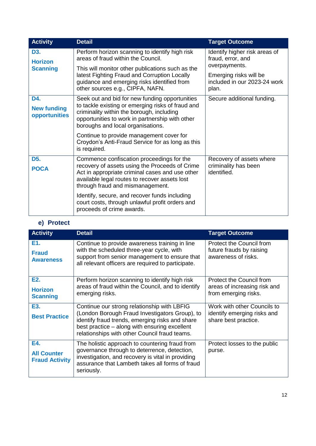| <b>Activity</b>                            | <b>Detail</b>                                                                                                                                                                                                                            | <b>Target Outcome</b>                                                                         |
|--------------------------------------------|------------------------------------------------------------------------------------------------------------------------------------------------------------------------------------------------------------------------------------------|-----------------------------------------------------------------------------------------------|
| D3.<br><b>Horizon</b><br><b>Scanning</b>   | Perform horizon scanning to identify high risk<br>areas of fraud within the Council.<br>This will monitor other publications such as the<br>latest Fighting Fraud and Corruption Locally                                                 | Identify higher risk areas of<br>fraud, error, and<br>overpayments.<br>Emerging risks will be |
|                                            | guidance and emerging risks identified from<br>other sources e.g., CIPFA, NAFN.                                                                                                                                                          | included in our 2023-24 work<br>plan.                                                         |
| D4.<br><b>New funding</b><br>opportunities | Seek out and bid for new funding opportunities<br>to tackle existing or emerging risks of fraud and<br>criminality within the borough, including<br>opportunities to work in partnership with other<br>boroughs and local organisations. | Secure additional funding.                                                                    |
|                                            | Continue to provide management cover for<br>Croydon's Anti-Fraud Service for as long as this<br>is required.                                                                                                                             |                                                                                               |
| D <sub>5</sub> .<br><b>POCA</b>            | Commence confiscation proceedings for the<br>recovery of assets using the Proceeds of Crime<br>Act in appropriate criminal cases and use other<br>available legal routes to recover assets lost<br>through fraud and mismanagement.      | Recovery of assets where<br>criminality has been<br>identified.                               |
|                                            | Identify, secure, and recover funds including<br>court costs, through unlawful profit orders and<br>proceeds of crime awards.                                                                                                            |                                                                                               |

#### **e) Protect**

| <b>Activity</b>                                       | <b>Detail</b>                                                                                                                                                                                                                                      | <b>Target Outcome</b>                                                              |
|-------------------------------------------------------|----------------------------------------------------------------------------------------------------------------------------------------------------------------------------------------------------------------------------------------------------|------------------------------------------------------------------------------------|
| E1.<br><b>Fraud</b><br><b>Awareness</b>               | Continue to provide awareness training in line<br>with the scheduled three-year cycle, with<br>support from senior management to ensure that<br>all relevant officers are required to participate.                                                 | Protect the Council from<br>future frauds by raising<br>awareness of risks.        |
| E <sub>2</sub> .<br><b>Horizon</b><br><b>Scanning</b> | Perform horizon scanning to identify high risk<br>areas of fraud within the Council, and to identify<br>emerging risks.                                                                                                                            | Protect the Council from<br>areas of increasing risk and<br>from emerging risks.   |
| E3.<br><b>Best Practice</b>                           | Continue our strong relationship with LBFIG<br>(London Borough Fraud Investigators Group), to<br>identify fraud trends, emerging risks and share<br>best practice – along with ensuring excellent<br>relationships with other Council fraud teams. | Work with other Councils to<br>identify emerging risks and<br>share best practice. |
| E4.<br><b>All Counter</b><br><b>Fraud Activity</b>    | The holistic approach to countering fraud from<br>governance through to deterrence, detection,<br>investigation, and recovery is vital in providing<br>assurance that Lambeth takes all forms of fraud<br>seriously.                               | Protect losses to the public<br>purse.                                             |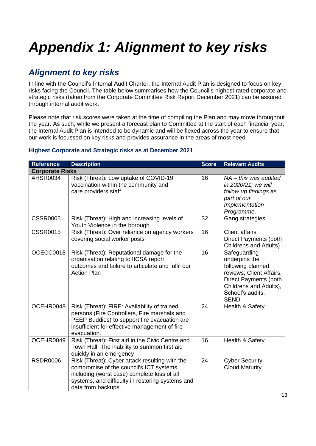# <span id="page-11-0"></span>*Appendix 1: Alignment to key risks*

### *Alignment to key risks*

In line with the Council's Internal Audit Charter, the Internal Audit Plan is designed to focus on key risks facing the Council. The table below summarises how the Council's highest rated corporate and strategic risks (taken from the Corporate Committee Risk Report December 2021) can be assured through internal audit work.

Please note that risk scores were taken at the time of compiling the Plan and may move throughout the year. As such, while we present a forecast plan to Committee at the start of each financial year, the Internal Audit Plan is intended to be dynamic and will be flexed across the year to ensure that our work is focussed on key risks and provides assurance in the areas of most need.

#### **Highest Corporate and Strategic risks as at December 2021**

| <b>Reference</b>       | <b>Description</b>                                                                                                                                                                                                  | <b>Score</b> | <b>Relevant Audits</b>                                                                                                                                         |
|------------------------|---------------------------------------------------------------------------------------------------------------------------------------------------------------------------------------------------------------------|--------------|----------------------------------------------------------------------------------------------------------------------------------------------------------------|
| <b>Corporate Risks</b> |                                                                                                                                                                                                                     |              |                                                                                                                                                                |
| AHSR0034               | Risk (Threat): Low uptake of COVID-19<br>vaccination within the community and<br>care providers staff                                                                                                               | 16           | $NA - this was audited$<br>in 2020/21; we will<br>follow up findings as<br>part of our<br>Implementation<br>Programme.                                         |
| <b>CSSR0005</b>        | Risk (Threat): High and increasing levels of<br>Youth Violence in the borough                                                                                                                                       | 32           | Gang strategies                                                                                                                                                |
| <b>CSSR0015</b>        | Risk (Threat): Over reliance on agency workers<br>covering social worker posts                                                                                                                                      | 16           | <b>Client affairs</b><br><b>Direct Payments (both</b><br><b>Childrens and Adults)</b>                                                                          |
| OCECC0018              | Risk (Threat): Reputational damage for the<br>organisation relating to IICSA report<br>outcomes and failure to articulate and fulfil our<br><b>Action Plan</b>                                                      | 16           | Safeguarding<br>underpins the<br>following planned<br>reviews; Client Affairs,<br>Direct Payments (both<br>Childrens and Adults),<br>School's audits,<br>SEND. |
| OCEHR0048              | Risk (Threat): FIRE: Availability of trained<br>persons (Fire Controllers, Fire marshals and<br>PEEP Buddies) to support fire evacuation are<br>insufficient for effective management of fire<br>evacuation.        | 24           | Health & Safety                                                                                                                                                |
| OCEHR0049              | Risk (Threat): First aid in the Civic Centre and<br>Town Hall: The inability to summon first aid<br>quickly in an emergency                                                                                         | 16           | Health & Safety                                                                                                                                                |
| <b>RSDR0006</b>        | Risk (Threat): Cyber attack resulting with the<br>compromise of the council's ICT systems,<br>including (worst case) complete loss of all<br>systems, and difficulty in restoring systems and<br>data from backups. | 24           | <b>Cyber Security</b><br><b>Cloud Maturity</b>                                                                                                                 |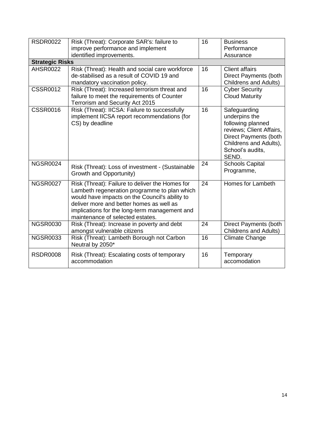| <b>RSDR0022</b>        | Risk (Threat): Corporate SAR's: failure to<br>improve performance and implement<br>identified improvements.                                                                                                                                                                        | 16              | <b>Business</b><br>Performance<br>Assurance                                                                                                                    |
|------------------------|------------------------------------------------------------------------------------------------------------------------------------------------------------------------------------------------------------------------------------------------------------------------------------|-----------------|----------------------------------------------------------------------------------------------------------------------------------------------------------------|
| <b>Strategic Risks</b> |                                                                                                                                                                                                                                                                                    |                 |                                                                                                                                                                |
| <b>AHSR0022</b>        | Risk (Threat): Health and social care workforce<br>de-stabilised as a result of COVID 19 and<br>mandatory vaccination policy.                                                                                                                                                      | 16              | <b>Client affairs</b><br><b>Direct Payments (both</b><br><b>Childrens and Adults)</b>                                                                          |
| <b>CSSR0012</b>        | Risk (Threat): Increased terrorism threat and<br>failure to meet the requirements of Counter<br>Terrorism and Security Act 2015                                                                                                                                                    | 16              | <b>Cyber Security</b><br><b>Cloud Maturity</b>                                                                                                                 |
| <b>CSSR0016</b>        | Risk (Threat): IICSA: Failure to successfully<br>implement IICSA report recommendations (for<br>CS) by deadline                                                                                                                                                                    | $\overline{16}$ | Safeguarding<br>underpins the<br>following planned<br>reviews; Client Affairs,<br>Direct Payments (both<br>Childrens and Adults),<br>School's audits,<br>SEND. |
| <b>NGSR0024</b>        | Risk (Threat): Loss of investment - (Sustainable<br>Growth and Opportunity)                                                                                                                                                                                                        | 24              | <b>Schools Capital</b><br>Programme,                                                                                                                           |
| <b>NGSR0027</b>        | Risk (Threat): Failure to deliver the Homes for<br>Lambeth regeneration programme to plan which<br>would have impacts on the Council's ability to<br>deliver more and better homes as well as<br>implications for the long-term management and<br>maintenance of selected estates. | $\overline{24}$ | Homes for Lambeth                                                                                                                                              |
| <b>NGSR0030</b>        | Risk (Threat): Increase in poverty and debt<br>amongst vulnerable citizens                                                                                                                                                                                                         | 24              | Direct Payments (both<br><b>Childrens and Adults)</b>                                                                                                          |
| <b>NGSR0033</b>        | Risk (Threat): Lambeth Borough not Carbon<br>Neutral by 2050*                                                                                                                                                                                                                      | 16              | Climate Change                                                                                                                                                 |
| <b>RSDR0008</b>        | Risk (Threat): Escalating costs of temporary<br>accommodation                                                                                                                                                                                                                      | 16              | Temporary<br>accomodation                                                                                                                                      |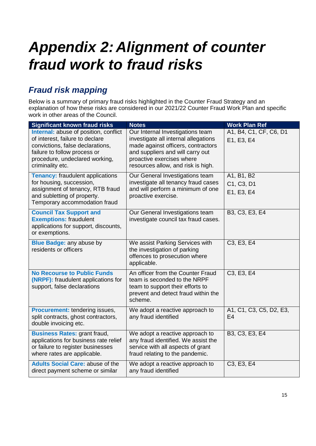## <span id="page-13-0"></span>*Appendix 2: Alignment of counter fraud work to fraud risks*

## *Fraud risk mapping*

Below is a summary of primary fraud risks highlighted in the Counter Fraud Strategy and an explanation of how these risks are considered in our 2021/22 Counter Fraud Work Plan and specific work in other areas of the Council.

| <b>Significant known fraud risks</b>                                                                                                                                                               | <b>Notes</b>                                                                                                                                                                                                          | <b>Work Plan Ref</b>                             |
|----------------------------------------------------------------------------------------------------------------------------------------------------------------------------------------------------|-----------------------------------------------------------------------------------------------------------------------------------------------------------------------------------------------------------------------|--------------------------------------------------|
| Internal: abuse of position, conflict<br>of interest, failure to declare<br>convictions, false declarations,<br>failure to follow process or<br>procedure, undeclared working,<br>criminality etc. | Our Internal Investigations team<br>investigate all internal allegations<br>made against officers, contractors<br>and suppliers and will carry out<br>proactive exercises where<br>resources allow, and risk is high. | A1, B4, C1, CF, C6, D1<br>E1, E3, E4             |
| <b>Tenancy:</b> fraudulent applications<br>for housing, succession,<br>assignment of tenancy, RTB fraud<br>and subletting of property.<br>Temporary accommodation fraud                            | Our General Investigations team<br>investigate all tenancy fraud cases<br>and will perform a minimum of one<br>proactive exercise.                                                                                    | A1, B1, B2<br>C1, C3, D1<br>E1, E3, E4           |
| <b>Council Tax Support and</b><br><b>Exemptions: fraudulent</b><br>applications for support, discounts,<br>or exemptions.                                                                          | Our General Investigations team<br>investigate council tax fraud cases.                                                                                                                                               | B3, C3, E3, E4                                   |
| <b>Blue Badge: any abuse by</b><br>residents or officers                                                                                                                                           | We assist Parking Services with<br>the investigation of parking<br>offences to prosecution where<br>applicable.                                                                                                       | C3, E3, E4                                       |
| <b>No Recourse to Public Funds</b><br>(NRPF): fraudulent applications for<br>support, false declarations                                                                                           | An officer from the Counter Fraud<br>team is seconded to the NRPF<br>team to support their efforts to<br>prevent and detect fraud within the<br>scheme.                                                               | C <sub>3</sub> , E <sub>3</sub> , E <sub>4</sub> |
| <b>Procurement: tendering issues,</b><br>split contracts, ghost contractors,<br>double invoicing etc.                                                                                              | We adopt a reactive approach to<br>any fraud identified                                                                                                                                                               | A1, C1, C3, C5, D2, E3,<br>E <sub>4</sub>        |
| <b>Business Rates: grant fraud,</b><br>applications for business rate relief<br>or failure to register businesses<br>where rates are applicable.                                                   | We adopt a reactive approach to<br>any fraud identified. We assist the<br>service with all aspects of grant<br>fraud relating to the pandemic.                                                                        | B3, C3, E3, E4                                   |
| <b>Adults Social Care: abuse of the</b><br>direct payment scheme or similar                                                                                                                        | We adopt a reactive approach to<br>any fraud identified                                                                                                                                                               | C3, E3, E4                                       |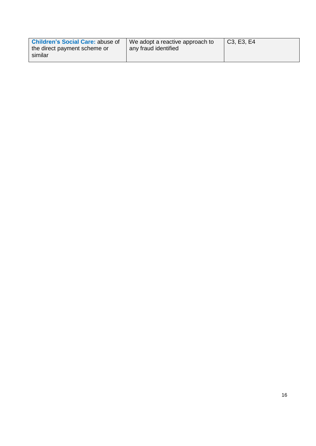| <b>Children's Social Care: abuse of</b> | We adopt a reactive approach to | C <sub>3</sub> , E <sub>3</sub> , E <sub>4</sub> |
|-----------------------------------------|---------------------------------|--------------------------------------------------|
| the direct payment scheme or<br>similar | any fraud identified            |                                                  |
|                                         |                                 |                                                  |